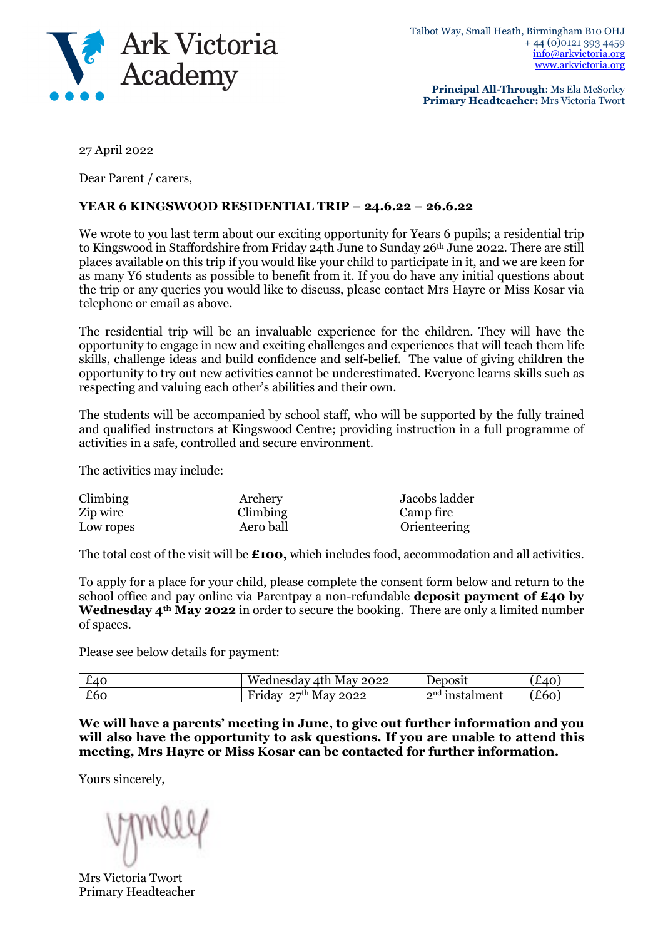

**Principal All-Through**: Ms Ela McSorley **Primary Headteacher:** Mrs Victoria Twort

27 April 2022

Dear Parent / carers,

## **YEAR 6 KINGSWOOD RESIDENTIAL TRIP – 24.6.22 – 26.6.22**

We wrote to you last term about our exciting opportunity for Years 6 pupils; a residential trip to Kingswood in Staffordshire from Friday 24th June to Sunday 26<sup>th</sup> June 2022. There are still places available on this trip if you would like your child to participate in it, and we are keen for as many Y6 students as possible to benefit from it. If you do have any initial questions about the trip or any queries you would like to discuss, please contact Mrs Hayre or Miss Kosar via telephone or email as above.

The residential trip will be an invaluable experience for the children. They will have the opportunity to engage in new and exciting challenges and experiences that will teach them life skills, challenge ideas and build confidence and self-belief. The value of giving children the opportunity to try out new activities cannot be underestimated. Everyone learns skills such as respecting and valuing each other's abilities and their own.

The students will be accompanied by school staff, who will be supported by the fully trained and qualified instructors at Kingswood Centre; providing instruction in a full programme of activities in a safe, controlled and secure environment.

The activities may include:

| Climbing  | Archery   | Jacobs ladder |
|-----------|-----------|---------------|
| Zip wire  | Climbing  | Camp fire     |
| Low ropes | Aero ball | Orienteering  |

The total cost of the visit will be **£100,** which includes food, accommodation and all activities.

To apply for a place for your child, please complete the consent form below and return to the school office and pay online via Parentpay a non-refundable **deposit payment of £40 by Wednesday 4th May 2022** in order to secure the booking. There are only a limited number of spaces.

Please see below details for payment:

| £40 | Wednesday<br>4th May 2022                       | Jeposh           | $E_{40}$ |
|-----|-------------------------------------------------|------------------|----------|
| £60 | <b>May 2022</b><br>Friday<br>$\Omega$ $\neg$ th | $2nd$ instalment | E60      |

**We will have a parents' meeting in June, to give out further information and you will also have the opportunity to ask questions. If you are unable to attend this meeting, Mrs Hayre or Miss Kosar can be contacted for further information.**

Yours sincerely,

Mrs Victoria Twort Primary Headteacher